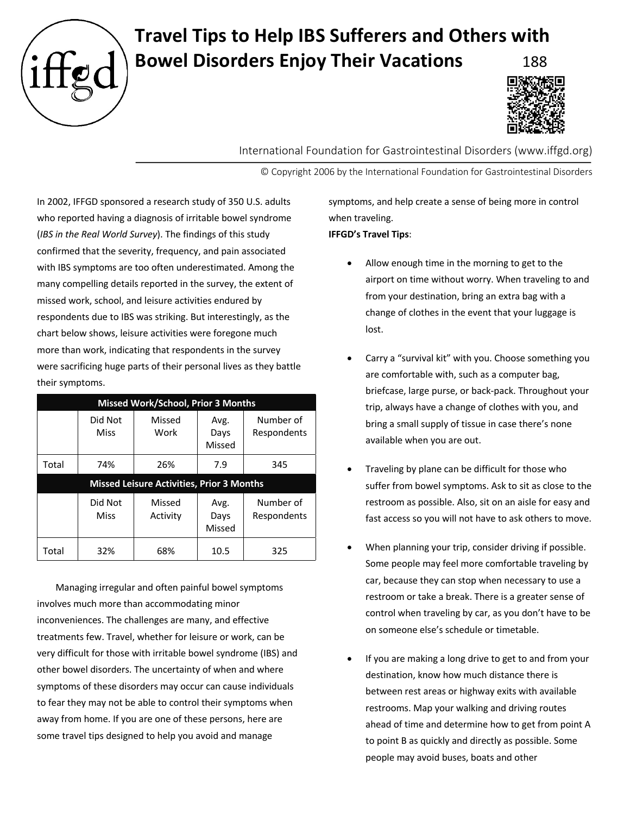

## **Travel Tips to Help IBS Sufferers and Others with Bowel Disorders Enjoy Their Vacations**



International Foundation for Gastrointestinal Disorders (www.iffgd.org)

© Copyright 2006 by the International Foundation for Gastrointestinal Disorders

In 2002, IFFGD sponsored a research study of 350 U.S. adults who reported having a diagnosis of irritable bowel syndrome (*IBS in the Real World Survey*). The findings of this study confirmed that the severity, frequency, and pain associated with IBS symptoms are too often underestimated. Among the many compelling details reported in the survey, the extent of missed work, school, and leisure activities endured by respondents due to IBS was striking. But interestingly, as the chart below shows, leisure activities were foregone much more than work, indicating that respondents in the survey were sacrificing huge parts of their personal lives as they battle their symptoms.

| Missed Work/School, Prior 3 Months               |                        |                    |                        |                          |
|--------------------------------------------------|------------------------|--------------------|------------------------|--------------------------|
|                                                  | Did Not<br><b>Miss</b> | Missed<br>Work     | Avg.<br>Days<br>Missed | Number of<br>Respondents |
| Total                                            | 74%                    | 26%                | 7.9                    | 345                      |
| <b>Missed Leisure Activities, Prior 3 Months</b> |                        |                    |                        |                          |
|                                                  | Did Not<br><b>Miss</b> | Missed<br>Activity | Avg.<br>Days<br>Missed | Number of<br>Respondents |
| Total                                            | 32%                    | 68%                | 10.5                   | 325                      |

Managing irregular and often painful bowel symptoms involves much more than accommodating minor inconveniences. The challenges are many, and effective treatments few. Travel, whether for leisure or work, can be very difficult for those with irritable bowel syndrome (IBS) and other bowel disorders. The uncertainty of when and where symptoms of these disorders may occur can cause individuals to fear they may not be able to control their symptoms when away from home. If you are one of these persons, here are some travel tips designed to help you avoid and manage

symptoms, and help create a sense of being more in control when traveling. **IFFGD's Travel Tips**:

- Allow enough time in the morning to get to the airport on time without worry. When traveling to and from your destination, bring an extra bag with a change of clothes in the event that your luggage is lost.
- Carry a "survival kit" with you. Choose something you are comfortable with, such as a computer bag, briefcase, large purse, or back-pack. Throughout your trip, always have a change of clothes with you, and bring a small supply of tissue in case there's none available when you are out.
- Traveling by plane can be difficult for those who suffer from bowel symptoms. Ask to sit as close to the restroom as possible. Also, sit on an aisle for easy and fast access so you will not have to ask others to move.
- When planning your trip, consider driving if possible. Some people may feel more comfortable traveling by car, because they can stop when necessary to use a restroom or take a break. There is a greater sense of control when traveling by car, as you don't have to be on someone else's schedule or timetable.
- If you are making a long drive to get to and from your destination, know how much distance there is between rest areas or highway exits with available restrooms. Map your walking and driving routes ahead of time and determine how to get from point A to point B as quickly and directly as possible. Some people may avoid buses, boats and other